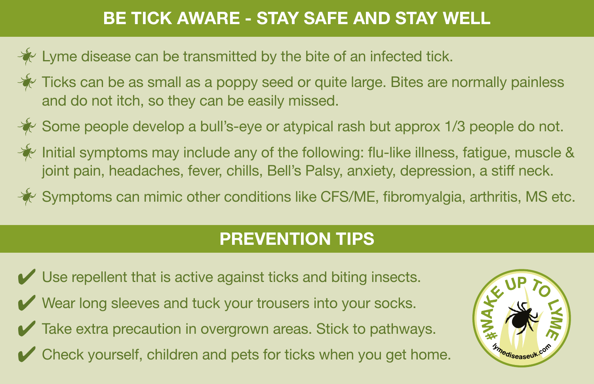## BE TICK AWARE - STAY SAFE AND STAY WELL

- Lyme disease can be transmitted by the bite of an infected tick.
- Ticks can be as small as a poppy seed or quite large. Bites are normally painless and do not itch, so they can be easily missed.
- Some people develop a bull's-eye or atypical rash but approx 1/3 people do not.
- Initial symptoms may include any of the following: flu-like illness, fatigue, muscle & joint pain, headaches, fever, chills, Bell's Palsy, anxiety, depression, a stiff neck.
- $\mathbb K$  Symptoms can mimic other conditions like CFS/ME, fibromyalgia, arthritis, MS etc.

# PREVENTION TIPS

✔ Use repellent that is active against ticks and biting insects. ✔ Wear long sleeves and tuck your trousers into your socks. ✔ Take extra precaution in overgrown areas. Stick to pathways. ✔ Check yourself, children and pets for ticks when you get home.